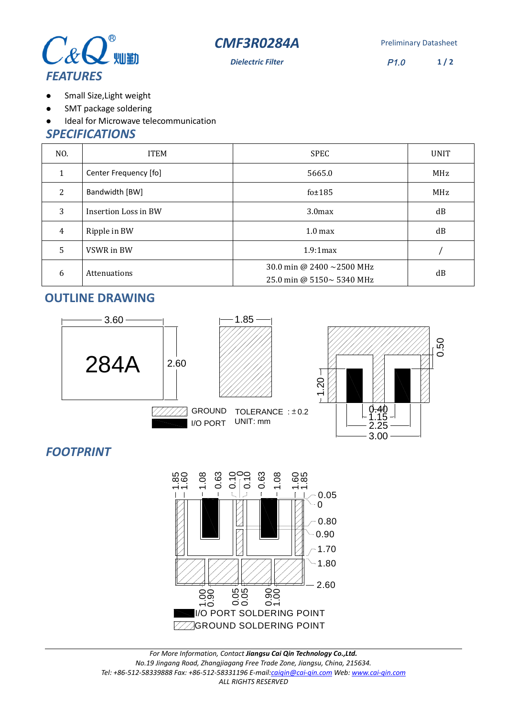



**Dielectric Filter** P1.0

**1 / 2**

- Small Size,Light weight  $\bullet$
- SMT package soldering  $\bullet$
- Ideal for Microwave telecommunication  $\bullet$

#### *SPECIFICATIONS*

| NO. | <b>ITEM</b>           | <b>SPEC</b>                                                        | <b>UNIT</b> |
|-----|-----------------------|--------------------------------------------------------------------|-------------|
| 1   | Center Frequency [fo] | 5665.0                                                             | MHz         |
| 2   | Bandwidth [BW]        | fo $±185$                                                          | MHz         |
| 3   | Insertion Loss in BW  | 3.0 <sub>max</sub>                                                 | dB          |
| 4   | Ripple in BW          | 1.0 <sub>max</sub>                                                 | dB          |
| 5   | VSWR in BW            | 1.9:1max                                                           |             |
| 6   | Attenuations          | 30.0 min @ 2400 $\sim$ 2500 MHz<br>25.0 min @ $5150 \sim 5340$ MHz | dB          |

# **OUTLINE DRAWING**



# *FOOTPRINT*